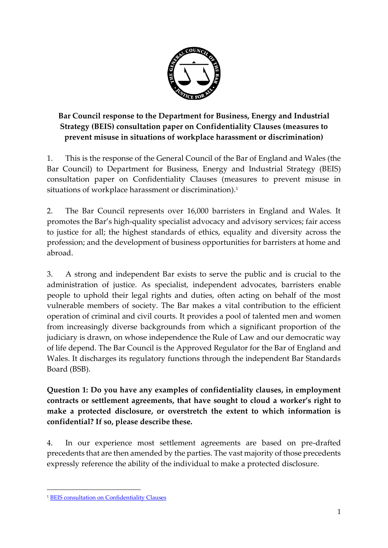

**Bar Council response to the Department for Business, Energy and Industrial Strategy (BEIS) consultation paper on Confidentiality Clauses (measures to prevent misuse in situations of workplace harassment or discrimination)**

1. This is the response of the General Council of the Bar of England and Wales (the Bar Council) to Department for Business, Energy and Industrial Strategy (BEIS) consultation paper on Confidentiality Clauses (measures to prevent misuse in situations of workplace harassment or discrimination). 1

2. The Bar Council represents over 16,000 barristers in England and Wales. It promotes the Bar's high-quality specialist advocacy and advisory services; fair access to justice for all; the highest standards of ethics, equality and diversity across the profession; and the development of business opportunities for barristers at home and abroad.

3. A strong and independent Bar exists to serve the public and is crucial to the administration of justice. As specialist, independent advocates, barristers enable people to uphold their legal rights and duties, often acting on behalf of the most vulnerable members of society. The Bar makes a vital contribution to the efficient operation of criminal and civil courts. It provides a pool of talented men and women from increasingly diverse backgrounds from which a significant proportion of the judiciary is drawn, on whose independence the Rule of Law and our democratic way of life depend. The Bar Council is the Approved Regulator for the Bar of England and Wales. It discharges its regulatory functions through the independent Bar Standards Board (BSB).

**Question 1: Do you have any examples of confidentiality clauses, in employment contracts or settlement agreements, that have sought to cloud a worker's right to make a protected disclosure, or overstretch the extent to which information is confidential? If so, please describe these.** 

4. In our experience most settlement agreements are based on pre-drafted precedents that are then amended by the parties. The vast majority of those precedents expressly reference the ability of the individual to make a protected disclosure.

1

<sup>&</sup>lt;sup>1</sup> [BEIS consultation on Confidentiality Clauses](https://assets.publishing.service.gov.uk/government/uploads/system/uploads/attachment_data/file/783011/confidentiality-clauses-consultation.pdf)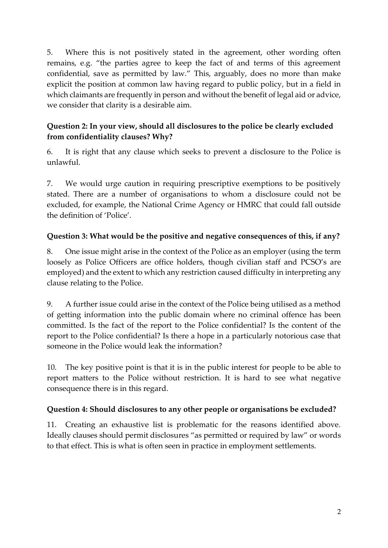5. Where this is not positively stated in the agreement, other wording often remains, e.g. "the parties agree to keep the fact of and terms of this agreement confidential, save as permitted by law." This, arguably, does no more than make explicit the position at common law having regard to public policy, but in a field in which claimants are frequently in person and without the benefit of legal aid or advice, we consider that clarity is a desirable aim.

# **Question 2: In your view, should all disclosures to the police be clearly excluded from confidentiality clauses? Why?**

6. It is right that any clause which seeks to prevent a disclosure to the Police is unlawful.

7. We would urge caution in requiring prescriptive exemptions to be positively stated. There are a number of organisations to whom a disclosure could not be excluded, for example, the National Crime Agency or HMRC that could fall outside the definition of 'Police'.

# **Question 3: What would be the positive and negative consequences of this, if any?**

8. One issue might arise in the context of the Police as an employer (using the term loosely as Police Officers are office holders, though civilian staff and PCSO's are employed) and the extent to which any restriction caused difficulty in interpreting any clause relating to the Police.

9. A further issue could arise in the context of the Police being utilised as a method of getting information into the public domain where no criminal offence has been committed. Is the fact of the report to the Police confidential? Is the content of the report to the Police confidential? Is there a hope in a particularly notorious case that someone in the Police would leak the information?

10. The key positive point is that it is in the public interest for people to be able to report matters to the Police without restriction. It is hard to see what negative consequence there is in this regard.

#### **Question 4: Should disclosures to any other people or organisations be excluded?**

11. Creating an exhaustive list is problematic for the reasons identified above. Ideally clauses should permit disclosures "as permitted or required by law" or words to that effect. This is what is often seen in practice in employment settlements.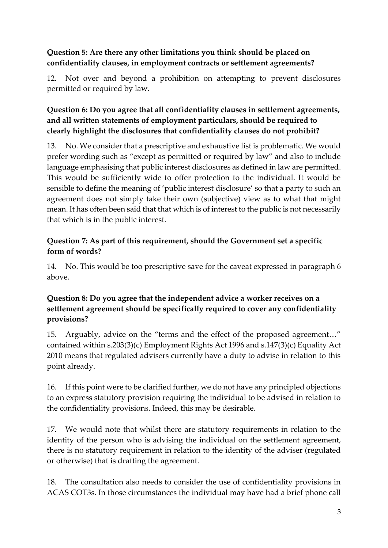#### **Question 5: Are there any other limitations you think should be placed on confidentiality clauses, in employment contracts or settlement agreements?**

12. Not over and beyond a prohibition on attempting to prevent disclosures permitted or required by law.

# **Question 6: Do you agree that all confidentiality clauses in settlement agreements, and all written statements of employment particulars, should be required to clearly highlight the disclosures that confidentiality clauses do not prohibit?**

13. No. We consider that a prescriptive and exhaustive list is problematic. We would prefer wording such as "except as permitted or required by law" and also to include language emphasising that public interest disclosures as defined in law are permitted. This would be sufficiently wide to offer protection to the individual. It would be sensible to define the meaning of 'public interest disclosure' so that a party to such an agreement does not simply take their own (subjective) view as to what that might mean. It has often been said that that which is of interest to the public is not necessarily that which is in the public interest.

#### **Question 7: As part of this requirement, should the Government set a specific form of words?**

14. No. This would be too prescriptive save for the caveat expressed in paragraph 6 above.

#### **Question 8: Do you agree that the independent advice a worker receives on a settlement agreement should be specifically required to cover any confidentiality provisions?**

15. Arguably, advice on the "terms and the effect of the proposed agreement…" contained within s.203(3)(c) Employment Rights Act 1996 and s.147(3)(c) Equality Act 2010 means that regulated advisers currently have a duty to advise in relation to this point already.

16. If this point were to be clarified further, we do not have any principled objections to an express statutory provision requiring the individual to be advised in relation to the confidentiality provisions. Indeed, this may be desirable.

17. We would note that whilst there are statutory requirements in relation to the identity of the person who is advising the individual on the settlement agreement, there is no statutory requirement in relation to the identity of the adviser (regulated or otherwise) that is drafting the agreement.

18. The consultation also needs to consider the use of confidentiality provisions in ACAS COT3s. In those circumstances the individual may have had a brief phone call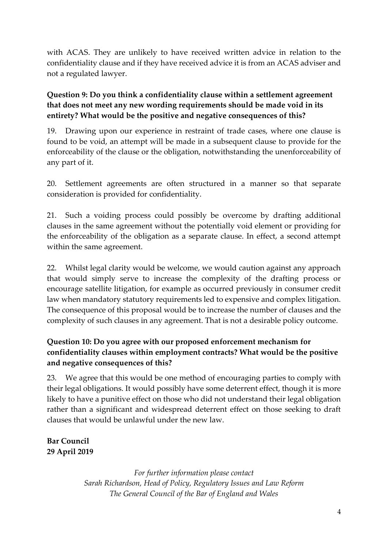with ACAS. They are unlikely to have received written advice in relation to the confidentiality clause and if they have received advice it is from an ACAS adviser and not a regulated lawyer.

### **Question 9: Do you think a confidentiality clause within a settlement agreement that does not meet any new wording requirements should be made void in its entirety? What would be the positive and negative consequences of this?**

19. Drawing upon our experience in restraint of trade cases, where one clause is found to be void, an attempt will be made in a subsequent clause to provide for the enforceability of the clause or the obligation, notwithstanding the unenforceability of any part of it.

20. Settlement agreements are often structured in a manner so that separate consideration is provided for confidentiality.

21. Such a voiding process could possibly be overcome by drafting additional clauses in the same agreement without the potentially void element or providing for the enforceability of the obligation as a separate clause. In effect, a second attempt within the same agreement.

22. Whilst legal clarity would be welcome, we would caution against any approach that would simply serve to increase the complexity of the drafting process or encourage satellite litigation, for example as occurred previously in consumer credit law when mandatory statutory requirements led to expensive and complex litigation. The consequence of this proposal would be to increase the number of clauses and the complexity of such clauses in any agreement. That is not a desirable policy outcome.

# **Question 10: Do you agree with our proposed enforcement mechanism for confidentiality clauses within employment contracts? What would be the positive and negative consequences of this?**

23. We agree that this would be one method of encouraging parties to comply with their legal obligations. It would possibly have some deterrent effect, though it is more likely to have a punitive effect on those who did not understand their legal obligation rather than a significant and widespread deterrent effect on those seeking to draft clauses that would be unlawful under the new law.

# **Bar Council 29 April 2019**

*For further information please contact Sarah Richardson, Head of Policy, Regulatory Issues and Law Reform The General Council of the Bar of England and Wales*